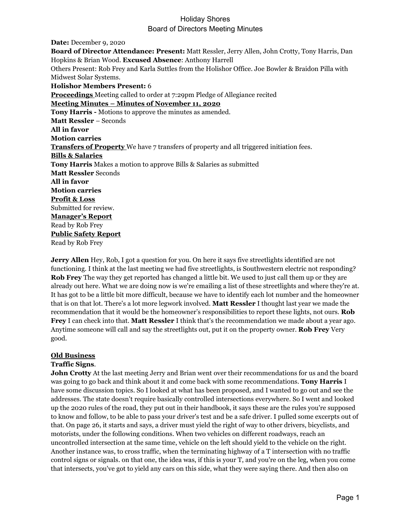**Date:** December 9, 2020 **Board of Director Attendance: Present:** Matt Ressler, Jerry Allen, John Crotty, Tony Harris, Dan Hopkins & Brian Wood. **Excused Absence**: Anthony Harrell Others Present: Rob Frey and Karla Suttles from the Holishor Office. Joe Bowler & Braidon Pilla with Midwest Solar Systems. **Holishor Members Present:** 6 **Proceedings** Meeting called to order at 7:29pm Pledge of Allegiance recited **Meeting Minutes – Minutes of November 11, 2020 Tony Harris -** Motions to approve the minutes as amended. **Matt Ressler** – Seconds **All in favor Motion carries Transfers of Property** We have 7 transfers of property and all triggered initiation fees. **Bills & Salaries Tony Harris** Makes a motion to approve Bills & Salaries as submitted **Matt Ressler** Seconds **All in favor Motion carries Profit & Loss** Submitted for review. **Manager's Report** Read by Rob Frey **Public Safety Report** Read by Rob Frey

**Jerry Allen** Hey, Rob, I got a question for you. On here it says five streetlights identified are not functioning. I think at the last meeting we had five streetlights, is Southwestern electric not responding? **Rob Frey** The way they get reported has changed a little bit. We used to just call them up or they are already out here. What we are doing now is we're emailing a list of these streetlights and where they're at. It has got to be a little bit more difficult, because we have to identify each lot number and the homeowner that is on that lot. There's a lot more legwork involved. **Matt Ressler** I thought last year we made the recommendation that it would be the homeowner's responsibilities to report these lights, not ours. **Rob Frey** I can check into that. **Matt Ressler** I think that's the recommendation we made about a year ago. Anytime someone will call and say the streetlights out, put it on the property owner. **Rob Frey** Very good.

#### **Old Business**

#### **Traffic Signs**.

**John Crotty** At the last meeting Jerry and Brian went over their recommendations for us and the board was going to go back and think about it and come back with some recommendations. **Tony Harris** I have some discussion topics. So I looked at what has been proposed, and I wanted to go out and see the addresses. The state doesn't require basically controlled intersections everywhere. So I went and looked up the 2020 rules of the road, they put out in their handbook, it says these are the rules you're supposed to know and follow, to be able to pass your driver's test and be a safe driver. I pulled some excerpts out of that. On page 26, it starts and says, a driver must yield the right of way to other drivers, bicyclists, and motorists, under the following conditions. When two vehicles on different roadways, reach an uncontrolled intersection at the same time, vehicle on the left should yield to the vehicle on the right. Another instance was, to cross traffic, when the terminating highway of a T intersection with no traffic control signs or signals. on that one, the idea was, if this is your T, and you're on the leg, when you come that intersects, you've got to yield any cars on this side, what they were saying there. And then also on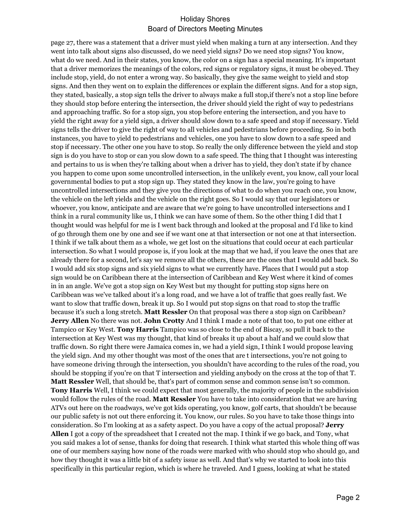page 27, there was a statement that a driver must yield when making a turn at any intersection. And they went into talk about signs also discussed, do we need yield signs? Do we need stop signs? You know, what do we need. And in their states, you know, the color on a sign has a special meaning. It's important that a driver memorizes the meanings of the colors, red signs or regulatory signs, it must be obeyed. They include stop, yield, do not enter a wrong way. So basically, they give the same weight to yield and stop signs. And then they went on to explain the differences or explain the different signs. And for a stop sign, they stated, basically, a stop sign tells the driver to always make a full stop,if there's not a stop line before they should stop before entering the intersection, the driver should yield the right of way to pedestrians and approaching traffic. So for a stop sign, you stop before entering the intersection, and you have to yield the right away for a yield sign, a driver should slow down to a safe speed and stop if necessary. Yield signs tells the driver to give the right of way to all vehicles and pedestrians before proceeding. So in both instances, you have to yield to pedestrians and vehicles, one you have to slow down to a safe speed and stop if necessary. The other one you have to stop. So really the only difference between the yield and stop sign is do you have to stop or can you slow down to a safe speed. The thing that I thought was interesting and pertains to us is when they're talking about when a driver has to yield, they don't state if by chance you happen to come upon some uncontrolled intersection, in the unlikely event, you know, call your local governmental bodies to put a stop sign up. They stated they know in the law, you're going to have uncontrolled intersections and they give you the directions of what to do when you reach one, you know, the vehicle on the left yields and the vehicle on the right goes. So I would say that our legislators or whoever, you know, anticipate and are aware that we're going to have uncontrolled intersections and I think in a rural community like us, I think we can have some of them. So the other thing I did that I thought would was helpful for me is I went back through and looked at the proposal and I'd like to kind of go through them one by one and see if we want one at that intersection or not one at that intersection. I think if we talk about them as a whole, we get lost on the situations that could occur at each particular intersection. So what I would propose is, if you look at the map that we had, if you leave the ones that are already there for a second, let's say we remove all the others, these are the ones that I would add back. So I would add six stop signs and six yield signs to what we currently have. Places that I would put a stop sign would be on Caribbean there at the intersection of Caribbean and Key West where it kind of comes in in an angle. We've got a stop sign on Key West but my thought for putting stop signs here on Caribbean was we've talked about it's a long road, and we have a lot of traffic that goes really fast. We want to slow that traffic down, break it up. So I would put stop signs on that road to stop the traffic because it's such a long stretch. **Matt Ressler** On that proposal was there a stop sign on Caribbean? **Jerry Allen** No there was not. **John Crotty** And I think I made a note of that too, to put one either at Tampico or Key West. **Tony Harris** Tampico was so close to the end of Biscay, so pull it back to the intersection at Key West was my thought, that kind of breaks it up about a half and we could slow that traffic down. So right there were Jamaica comes in, we had a yield sign, I think I would propose leaving the yield sign. And my other thought was most of the ones that are t intersections, you're not going to have someone driving through the intersection, you shouldn't have according to the rules of the road, you should be stopping if you're on that T intersection and yielding anybody on the cross at the top of that T. **Matt Ressler** Well, that should be, that's part of common sense and common sense isn't so common. **Tony Harris** Well, I think we could expect that most generally, the majority of people in the subdivision would follow the rules of the road. **Matt Ressler** You have to take into consideration that we are having ATVs out here on the roadways, we've got kids operating, you know, golf carts, that shouldn't be because our public safety is not out there enforcing it. You know, our rules. So you have to take those things into consideration. So I'm looking at as a safety aspect. Do you have a copy of the actual proposal? **Jerry Allen** I got a copy of the spreadsheet that I created not the map. I think if we go back, and Tony, what you said makes a lot of sense, thanks for doing that research. I think what started this whole thing off was one of our members saying how none of the roads were marked with who should stop who should go, and how they thought it was a little bit of a safety issue as well. And that's why we started to look into this specifically in this particular region, which is where he traveled. And I guess, looking at what he stated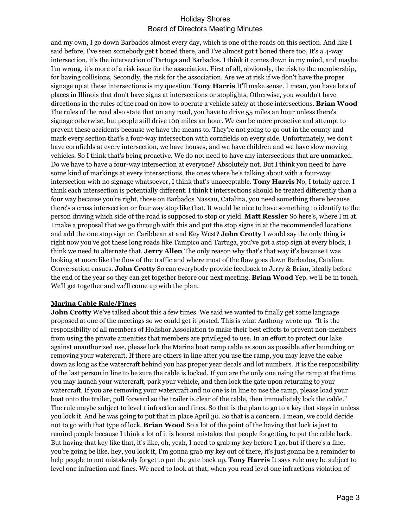and my own, I go down Barbados almost every day, which is one of the roads on this section. And like I said before, I've seen somebody get t boned there, and I've almost got t boned there too, It's a 4-way intersection, it's the intersection of Tartuga and Barbados. I think it comes down in my mind, and maybe I'm wrong, it's more of a risk issue for the association. First of all, obviously, the risk to the membership, for having collisions. Secondly, the risk for the association. Are we at risk if we don't have the proper signage up at these intersections is my question. **Tony Harris** It'll make sense. I mean, you have lots of places in Illinois that don't have signs at intersections or stoplights. Otherwise, you wouldn't have directions in the rules of the road on how to operate a vehicle safely at those intersections. **Brian Wood** The rules of the road also state that on any road, you have to drive 55 miles an hour unless there's signage otherwise, but people still drive 100 miles an hour. We can be more proactive and attempt to prevent these accidents because we have the means to. They're not going to go out in the county and mark every section that's a four-way intersection with cornfields on every side. Unfortunately, we don't have cornfields at every intersection, we have houses, and we have children and we have slow moving vehicles. So I think that's being proactive. We do not need to have any intersections that are unmarked. Do we have to have a four-way intersection at everyone? Absolutely not. But I think you need to have some kind of markings at every intersections, the ones where he's talking about with a four-way intersection with no signage whatsoever, I think that's unacceptable. **Tony Harris** No, I totally agree. I think each intersection is potentially different. I think t intersections should be treated differently than a four way because you're right, those on Barbados Nassau, Catalina, you need something there because there's a cross intersection or four way stop like that. It would be nice to have something to identify to the person driving which side of the road is supposed to stop or yield. **Matt Ressler** So here's, where I'm at. I make a proposal that we go through with this and put the stop signs in at the recommended locations and add the one stop sign on Caribbean at and Key West? **John Crotty** I would say the only thing is right now you've got these long roads like Tampico and Tartuga, you've got a stop sign at every block, I think we need to alternate that. **Jerry Allen** The only reason why that's that way it's because I was looking at more like the flow of the traffic and where most of the flow goes down Barbados, Catalina. Conversation ensues. **John Crotty** So can everybody provide feedback to Jerry & Brian, ideally before the end of the year so they can get together before our next meeting. **Brian Wood** Yep. we'll be in touch. We'll get together and we'll come up with the plan.

#### **Marina Cable Rule/Fines**

**John Crotty** We've talked about this a few times. We said we wanted to finally get some language proposed at one of the meetings so we could get it posted. This is what Anthony wrote up. "It is the responsibility of all members of Holishor Association to make their best efforts to prevent non-members from using the private amenities that members are privileged to use. In an effort to protect our lake against unauthorized use, please lock the Marina boat ramp cable as soon as possible after launching or removing your watercraft. If there are others in line after you use the ramp, you may leave the cable down as long as the watercraft behind you has proper year decals and lot numbers. It is the responsibility of the last person in line to be sure the cable is locked. If you are the only one using the ramp at the time, you may launch your watercraft, park your vehicle, and then lock the gate upon returning to your watercraft. If you are removing your watercraft and no one is in line to use the ramp, please load your boat onto the trailer, pull forward so the trailer is clear of the cable, then immediately lock the cable." The rule maybe subject to level 1 infraction and fines. So that is the plan to go to a key that stays in unless you lock it. And he was going to put that in place April 30. So that is a concern. I mean, we could decide not to go with that type of lock. **Brian Wood** So a lot of the point of the having that lock is just to remind people because I think a lot of it is honest mistakes that people forgetting to put the cable back. But having that key like that, it's like, oh, yeah, I need to grab my key before I go, but if there's a line, you're going be like, hey, you lock it, I'm gonna grab my key out of there, it's just gonna be a reminder to help people to not mistakenly forget to put the gate back up. **Tony Harris** It says rule may be subject to level one infraction and fines. We need to look at that, when you read level one infractions violation of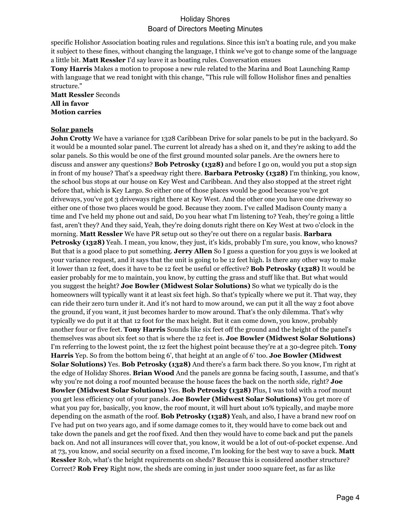specific Holishor Association boating rules and regulations. Since this isn't a boating rule, and you make it subject to these fines, without changing the language, I think we've got to change some of the language a little bit. **Matt Ressler** I'd say leave it as boating rules. Conversation ensues

**Tony Harris** Makes a motion to propose a new rule related to the Marina and Boat Launching Ramp with language that we read tonight with this change, "This rule will follow Holishor fines and penalties structure."

**Matt Ressler** Seconds **All in favor Motion carries**

#### **Solar panels**

**John Crotty** We have a variance for 1328 Caribbean Drive for solar panels to be put in the backyard. So it would be a mounted solar panel. The current lot already has a shed on it, and they're asking to add the solar panels. So this would be one of the first ground mounted solar panels. Are the owners here to discuss and answer any questions? **Bob Petrosky (1328)** and before I go on, would you put a stop sign in front of my house? That's a speedway right there. **Barbara Petrosky (1328)** I'm thinking, you know, the school bus stops at our house on Key West and Caribbean. And they also stopped at the street right before that, which is Key Largo. So either one of those places would be good because you've got driveways, you've got 3 driveways right there at Key West. And the other one you have one driveway so either one of those two places would be good. Because they zoom. I've called Madison County many a time and I've held my phone out and said, Do you hear what I'm listening to? Yeah, they're going a little fast, aren't they? And they said, Yeah, they're doing donuts right there on Key West at two o'clock in the morning. **Matt Ressler** We have PR setup out so they're out there on a regular basis. **Barbara Petrosky (1328)** Yeah. I mean, you know, they just, it's kids, probably I'm sure, you know, who knows? But that is a good place to put something. **Jerry Allen** So I guess a question for you guys is we looked at your variance request, and it says that the unit is going to be 12 feet high. Is there any other way to make it lower than 12 feet, does it have to be 12 feet be useful or effective? **Bob Petrosky (1328)** It would be easier probably for me to maintain, you know, by cutting the grass and stuff like that. But what would you suggest the height? **Joe Bowler (Midwest Solar Solutions)** So what we typically do is the homeowners will typically want it at least six feet high. So that's typically where we put it. That way, they can ride their zero turn under it. And it's not hard to mow around, we can put it all the way 2 foot above the ground, if you want, it just becomes harder to mow around. That's the only dilemma. That's why typically we do put it at that 12 foot for the max height. But it can come down, you know, probably another four or five feet. **Tony Harris** Sounds like six feet off the ground and the height of the panel's themselves was about six feet so that is where the 12 feet is. **Joe Bowler (Midwest Solar Solutions)**  I'm referring to the lowest point, the 12 feet the highest point because they're at a 30-degree pitch. **Tony Harris** Yep. So from the bottom being 6', that height at an angle of 6' too. **Joe Bowler (Midwest Solar Solutions)** Yes. **Bob Petrosky (1328)** And there's a farm back there. So you know, I'm right at the edge of Holiday Shores. **Brian Wood** And the panels are gonna be facing south, I assume, and that's why you're not doing a roof mounted because the house faces the back on the north side, right? **Joe Bowler (Midwest Solar Solutions)** Yes. **Bob Petrosky (1328)** Plus, I was told with a roof mount you get less efficiency out of your panels. **Joe Bowler (Midwest Solar Solutions)** You get more of what you pay for, basically, you know, the roof mount, it will hurt about 10% typically, and maybe more depending on the asmath of the roof. **Bob Petrosky (1328)** Yeah, and also, I have a brand new roof on I've had put on two years ago, and if some damage comes to it, they would have to come back out and take down the panels and get the roof fixed. And then they would have to come back and put the panels back on. And not all insurances will cover that, you know, it would be a lot of out-of-pocket expense. And at 73, you know, and social security on a fixed income, I'm looking for the best way to save a buck. **Matt Ressler** Rob, what's the height requirements on sheds? Because this is considered another structure? Correct? **Rob Frey** Right now, the sheds are coming in just under 1000 square feet, as far as like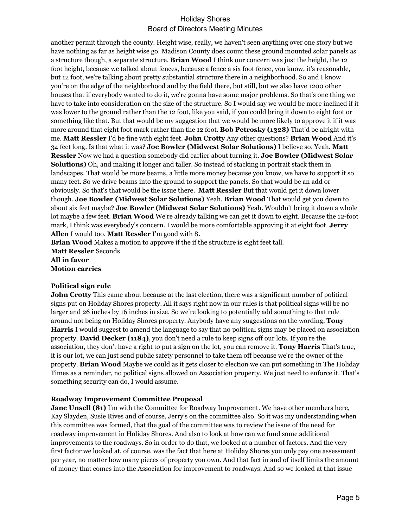another permit through the county. Height wise, really, we haven't seen anything over one story but we have nothing as far as height wise go. Madison County does count these ground mounted solar panels as a structure though, a separate structure. **Brian Wood** I think our concern was just the height, the 12 foot height, because we talked about fences, because a fence a six foot fence, you know, it's reasonable, but 12 foot, we're talking about pretty substantial structure there in a neighborhood. So and I know you're on the edge of the neighborhood and by the field there, but still, but we also have 1200 other houses that if everybody wanted to do it, we're gonna have some major problems. So that's one thing we have to take into consideration on the size of the structure. So I would say we would be more inclined if it was lower to the ground rather than the 12 foot, like you said, if you could bring it down to eight foot or something like that. But that would be my suggestion that we would be more likely to approve it if it was more around that eight foot mark rather than the 12 foot. **Bob Petrosky (1328)** That'd be alright with me. **Matt Ressler** I'd be fine with eight feet. **John Crotty** Any other questions? **Brian Wood** And it's 34 feet long. Is that what it was? **Joe Bowler (Midwest Solar Solutions)** I believe so. Yeah. **Matt Ressler** Now we had a question somebody did earlier about turning it. **Joe Bowler (Midwest Solar Solutions)** Oh, and making it longer and taller. So instead of stacking in portrait stack them in landscapes. That would be more beams, a little more money because you know, we have to support it so many feet. So we drive beams into the ground to support the panels. So that would be an add or obviously. So that's that would be the issue there. **Matt Ressler** But that would get it down lower though. **Joe Bowler (Midwest Solar Solutions)** Yeah. **Brian Wood** That would get you down to about six feet maybe? **Joe Bowler (Midwest Solar Solutions)** Yeah. Wouldn't bring it down a whole lot maybe a few feet. **Brian Wood** We're already talking we can get it down to eight. Because the 12-foot mark, I think was everybody's concern. I would be more comfortable approving it at eight foot. **Jerry Allen** I would too. **Matt Ressler** I'm good with 8.

**Brian Wood** Makes a motion to approve if the if the structure is eight feet tall. **Matt Ressler** Seconds **All in favor Motion carries**

#### **Political sign rule**

**John Crotty** This came about because at the last election, there was a significant number of political signs put on Holiday Shores property. All it says right now in our rules is that political signs will be no larger and 26 inches by 16 inches in size. So we're looking to potentially add something to that rule around not being on Holiday Shores property. Anybody have any suggestions on the wording, **Tony Harris** I would suggest to amend the language to say that no political signs may be placed on association property. **David Decker (1184)**, you don't need a rule to keep signs off our lots. If you're the association, they don't have a right to put a sign on the lot, you can remove it. **Tony Harris** That's true, it is our lot, we can just send public safety personnel to take them off because we're the owner of the property. **Brian Wood** Maybe we could as it gets closer to election we can put something in The Holiday Times as a reminder, no political signs allowed on Association property. We just need to enforce it. That's something security can do, I would assume.

#### **Roadway Improvement Committee Proposal**

**Jane Unsell (81)** I'm with the Committee for Roadway Improvement. We have other members here, Kay Slayden, Susie Rives and of course, Jerry's on the committee also. So it was my understanding when this committee was formed, that the goal of the committee was to review the issue of the need for roadway improvement in Holiday Shores. And also to look at how can we fund some additional improvements to the roadways. So in order to do that, we looked at a number of factors. And the very first factor we looked at, of course, was the fact that here at Holiday Shores you only pay one assessment per year, no matter how many pieces of property you own. And that fact in and of itself limits the amount of money that comes into the Association for improvement to roadways. And so we looked at that issue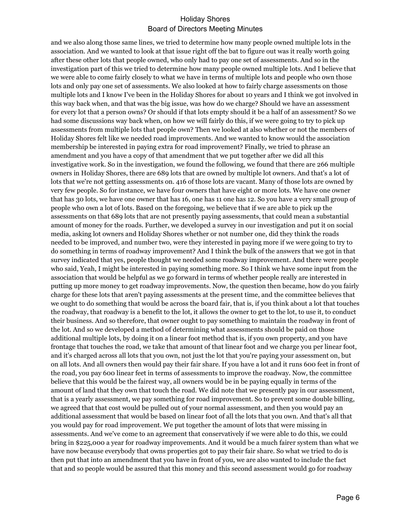and we also along those same lines, we tried to determine how many people owned multiple lots in the association. And we wanted to look at that issue right off the bat to figure out was it really worth going after these other lots that people owned, who only had to pay one set of assessments. And so in the investigation part of this we tried to determine how many people owned multiple lots. And I believe that we were able to come fairly closely to what we have in terms of multiple lots and people who own those lots and only pay one set of assessments. We also looked at how to fairly charge assessments on those multiple lots and I know I've been in the Holiday Shores for about 10 years and I think we got involved in this way back when, and that was the big issue, was how do we charge? Should we have an assessment for every lot that a person owns? Or should if that lots empty should it be a half of an assessment? So we had some discussions way back when, on how we will fairly do this, if we were going to try to pick up assessments from multiple lots that people own? Then we looked at also whether or not the members of Holiday Shores felt like we needed road improvements. And we wanted to know would the association membership be interested in paying extra for road improvement? Finally, we tried to phrase an amendment and you have a copy of that amendment that we put together after we did all this investigative work. So in the investigation, we found the following, we found that there are 266 multiple owners in Holiday Shores, there are 689 lots that are owned by multiple lot owners. And that's a lot of lots that we're not getting assessments on. 416 of those lots are vacant. Many of those lots are owned by very few people. So for instance, we have four owners that have eight or more lots. We have one owner that has 30 lots, we have one owner that has 16, one has 11 one has 12. So you have a very small group of people who own a lot of lots. Based on the foregoing, we believe that if we are able to pick up the assessments on that 689 lots that are not presently paying assessments, that could mean a substantial amount of money for the roads. Further, we developed a survey in our investigation and put it on social media, asking lot owners and Holiday Shores whether or not number one, did they think the roads needed to be improved, and number two, were they interested in paying more if we were going to try to do something in terms of roadway improvement? And I think the bulk of the answers that we got in that survey indicated that yes, people thought we needed some roadway improvement. And there were people who said, Yeah, I might be interested in paying something more. So I think we have some input from the association that would be helpful as we go forward in terms of whether people really are interested in putting up more money to get roadway improvements. Now, the question then became, how do you fairly charge for these lots that aren't paying assessments at the present time, and the committee believes that we ought to do something that would be across the board fair, that is, if you think about a lot that touches the roadway, that roadway is a benefit to the lot, it allows the owner to get to the lot, to use it, to conduct their business. And so therefore, that owner ought to pay something to maintain the roadway in front of the lot. And so we developed a method of determining what assessments should be paid on those additional multiple lots, by doing it on a linear foot method that is, if you own property, and you have frontage that touches the road, we take that amount of that linear foot and we charge you per linear foot, and it's charged across all lots that you own, not just the lot that you're paying your assessment on, but on all lots. And all owners then would pay their fair share. If you have a lot and it runs 600 feet in front of the road, you pay 600 linear feet in terms of assessments to improve the roadway. Now, the committee believe that this would be the fairest way, all owners would be in be paying equally in terms of the amount of land that they own that touch the road. We did note that we presently pay in our assessment, that is a yearly assessment, we pay something for road improvement. So to prevent some double billing, we agreed that that cost would be pulled out of your normal assessment, and then you would pay an additional assessment that would be based on linear foot of all the lots that you own. And that's all that you would pay for road improvement. We put together the amount of lots that were missing in assessments. And we've come to an agreement that conservatively if we were able to do this, we could bring in \$225,000 a year for roadway improvements. And it would be a much fairer system than what we have now because everybody that owns properties got to pay their fair share. So what we tried to do is then put that into an amendment that you have in front of you, we are also wanted to include the fact that and so people would be assured that this money and this second assessment would go for roadway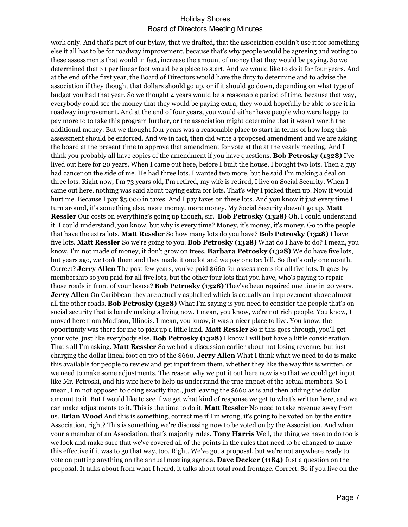work only. And that's part of our bylaw, that we drafted, that the association couldn't use it for something else it all has to be for roadway improvement, because that's why people would be agreeing and voting to these assessments that would in fact, increase the amount of money that they would be paying. So we determined that \$1 per linear foot would be a place to start. And we would like to do it for four years. And at the end of the first year, the Board of Directors would have the duty to determine and to advise the association if they thought that dollars should go up, or if it should go down, depending on what type of budget you had that year. So we thought 4 years would be a reasonable period of time, because that way, everybody could see the money that they would be paying extra, they would hopefully be able to see it in roadway improvement. And at the end of four years, you would either have people who were happy to pay more to to take this program further, or the association might determine that it wasn't worth the additional money. But we thought four years was a reasonable place to start in terms of how long this assessment should be enforced. And we in fact, then did write a proposed amendment and we are asking the board at the present time to approve that amendment for vote at the at the yearly meeting. And I think you probably all have copies of the amendment if you have questions. **Bob Petrosky (1328)** I've lived out here for 20 years. When I came out here, before I built the house, I bought two lots. Then a guy had cancer on the side of me. He had three lots. I wanted two more, but he said I'm making a deal on three lots. Right now, I'm 73 years old, I'm retired, my wife is retired, I live on Social Security. When I came out here, nothing was said about paying extra for lots. That's why I picked them up. Now it would hurt me. Because I pay \$5,000 in taxes. And I pay taxes on these lots. And you know it just every time I turn around, it's something else, more money, more money. My Social Security doesn't go up. **Matt Ressler** Our costs on everything's going up though, sir. **Bob Petrosky (1328)** Oh, I could understand it. I could understand, you know, but why is every time? Money, it's money, it's money. Go to the people that have the extra lots. **Matt Ressler** So how many lots do you have? **Bob Petrosky (1328)** I have five lots. **Matt Ressler** So we're going to you. **Bob Petrosky (1328)** What do I have to do? I mean, you know, I'm not made of money, it don't grow on trees. **Barbara Petrosky (1328)** We do have five lots, but years ago, we took them and they made it one lot and we pay one tax bill. So that's only one month. Correct? **Jerry Allen** The past few years, you've paid \$660 for assessments for all five lots. It goes by membership so you paid for all five lots, but the other four lots that you have, who's paying to repair those roads in front of your house? **Bob Petrosky (1328)** They've been repaired one time in 20 years. **Jerry Allen** On Caribbean they are actually asphalted which is actually an improvement above almost all the other roads. **Bob Petrosky (1328)** What I'm saying is you need to consider the people that's on social security that is barely making a living now. I mean, you know, we're not rich people. You know, I moved here from Madison, Illinois. I mean, you know, it was a nicer place to live. You know, the opportunity was there for me to pick up a little land. **Matt Ressler** So if this goes through, you'll get your vote, just like everybody else. **Bob Petrosky (1328)** I know I will but have a little consideration. That's all I'm asking. **Matt Ressler** So we had a discussion earlier about not losing revenue, but just charging the dollar lineal foot on top of the \$660. **Jerry Allen** What I think what we need to do is make this available for people to review and get input from them, whether they like the way this is written, or we need to make some adjustments. The reason why we put it out here now is so that we could get input like Mr. Petroski, and his wife here to help us understand the true impact of the actual members. So I mean, I'm not opposed to doing exactly that., just leaving the \$660 as is and then adding the dollar amount to it. But I would like to see if we get what kind of response we get to what's written here, and we can make adjustments to it. This is the time to do it. **Matt Ressler** No need to take revenue away from us. **Brian Wood** And this is something, correct me if I'm wrong, it's going to be voted on by the entire Association, right? This is something we're discussing now to be voted on by the Association. And when your a member of an Association, that's majority rules. **Tony Harris** Well, the thing we have to do too is we look and make sure that we've covered all of the points in the rules that need to be changed to make this effective if it was to go that way, too. Right. We've got a proposal, but we're not anywhere ready to vote on putting anything on the annual meeting agenda. **Dave Decker (1184)** Just a question on the proposal. It talks about from what I heard, it talks about total road frontage. Correct. So if you live on the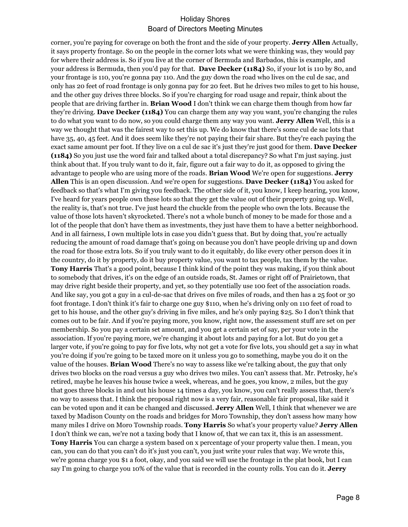corner, you're paying for coverage on both the front and the side of your property. **Jerry Allen** Actually, it says property frontage. So on the people in the corner lots what we were thinking was, they would pay for where their address is. So if you live at the corner of Bermuda and Barbados, this is example, and your address is Bermuda, then you'd pay for that. **Dave Decker (1184)** So, if your lot is 110 by 80, and your frontage is 110, you're gonna pay 110. And the guy down the road who lives on the cul de sac, and only has 20 feet of road frontage is only gonna pay for 20 feet. But he drives two miles to get to his house, and the other guy drives three blocks. So if you're charging for road usage and repair, think about the people that are driving farther in. **Brian Wood** I don't think we can charge them though from how far they're driving. **Dave Decker (1184)** You can charge them any way you want, you're changing the rules to do what you want to do now, so you could charge them any way you want. **Jerry Allen** Well, this is a way we thought that was the fairest way to set this up. We do know that there's some cul de sac lots that have 35, 40, 45 feet. And it does seem like they're not paying their fair share. But they're each paying the exact same amount per foot. If they live on a cul de sac it's just they're just good for them. **Dave Decker (1184)** So you just use the word fair and talked about a total discrepancy? So what I'm just saying. just think about that. If you truly want to do it, fair, figure out a fair way to do it, as opposed to giving the advantage to people who are using more of the roads. **Brian Wood** We're open for suggestions. **Jerry Allen** This is an open discussion. And we're open for suggestions. **Dave Decker (1184)** You asked for feedback so that's what I'm giving you feedback. The other side of it, you know, I keep hearing, you know, I've heard for years people own these lots so that they get the value out of their property going up. Well, the reality is, that's not true. I've just heard the chuckle from the people who own the lots. Because the value of those lots haven't skyrocketed. There's not a whole bunch of money to be made for those and a lot of the people that don't have them as investments, they just have them to have a better neighborhood. And in all fairness, I own multiple lots in case you didn't guess that. But by doing that, you're actually reducing the amount of road damage that's going on because you don't have people driving up and down the road for those extra lots. So if you truly want to do it equitably, do like every other person does it in the country, do it by property, do it buy property value, you want to tax people, tax them by the value. **Tony Harris** That's a good point, because I think kind of the point they was making, if you think about to somebody that drives, it's on the edge of an outside roads, St. James or right off of Prairietown, that may drive right beside their property, and yet, so they potentially use 100 feet of the association roads. And like say, you got a guy in a cul-de-sac that drives on five miles of roads, and then has a 25 foot or 30 foot frontage. I don't think it's fair to charge one guy \$110, when he's driving only on 110 feet of road to get to his house, and the other guy's driving in five miles, and he's only paying \$25. So I don't think that comes out to be fair. And if you're paying more, you know, right now, the assessment stuff are set on per membership. So you pay a certain set amount, and you get a certain set of say, per your vote in the association. If you're paying more, we're changing it about lots and paying for a lot. But do you get a larger vote, if you're going to pay for five lots, why not get a vote for five lots, you should get a say in what you're doing if you're going to be taxed more on it unless you go to something, maybe you do it on the value of the houses. **Brian Wood** There's no way to assess like we're talking about, the guy that only drives two blocks on the road versus a guy who drives two miles. You can't assess that. Mr. Petrosky, he's retired, maybe he leaves his house twice a week, whereas, and he goes, you know, 2 miles, but the guy that goes three blocks in and out his house 14 times a day, you know, you can't really assess that, there's no way to assess that. I think the proposal right now is a very fair, reasonable fair proposal, like said it can be voted upon and it can be changed and discussed. **Jerry Allen** Well, I think that whenever we are taxed by Madison County on the roads and bridges for Moro Township, they don't assess how many how many miles I drive on Moro Township roads. **Tony Harris** So what's your property value? **Jerry Allen** I don't think we can, we're not a taxing body that I know of, that we can tax it, this is an assessment. **Tony Harris** You can charge a system based on x percentage of your property value then. I mean, you can, you can do that you can't do it's just you can't, you just write your rules that way. We wrote this, we're gonna charge you \$1 a foot, okay, and you said we will use the frontage in the plat book, but I can say I'm going to charge you 10% of the value that is recorded in the county rolls. You can do it. **Jerry**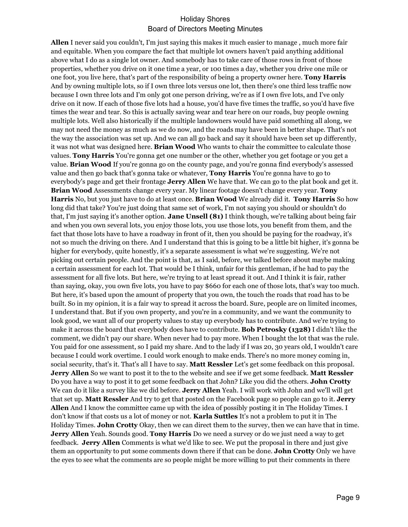**Allen** I never said you couldn't, I'm just saying this makes it much easier to manage , much more fair and equitable. When you compare the fact that multiple lot owners haven't paid anything additional above what I do as a single lot owner. And somebody has to take care of those rows in front of those properties, whether you drive on it one time a year, or 100 times a day, whether you drive one mile or one foot, you live here, that's part of the responsibility of being a property owner here. **Tony Harris** And by owning multiple lots, so if I own three lots versus one lot, then there's one third less traffic now because I own three lots and I'm only got one person driving, we're as if I own five lots, and I've only drive on it now. If each of those five lots had a house, you'd have five times the traffic, so you'd have five times the wear and tear. So this is actually saving wear and tear here on our roads, buy people owning multiple lots. Well also historically if the multiple landowners would have paid something all along, we may not need the money as much as we do now, and the roads may have been in better shape. That's not the way the association was set up. And we can all go back and say it should have been set up differently, it was not what was designed here. **Brian Wood** Who wants to chair the committee to calculate those values. **Tony Harris** You're gonna get one number or the other, whether you get footage or you get a value. **Brian Wood** If you're gonna go on the county page, and you're gonna find everybody's assessed value and then go back that's gonna take or whatever, **Tony Harris** You're gonna have to go to everybody's page and get their frontage **Jerry Allen** We have that. We can go to the plat book and get it. **Brian Wood** Assessments change every year. My linear footage doesn't change every year. **Tony Harris** No, but you just have to do at least once. **Brian Wood** We already did it. **Tony Harris** So how long did that take? You're just doing that same set of work, I'm not saying you should or shouldn't do that, I'm just saying it's another option. **Jane Unsell (81)** I think though, we're talking about being fair and when you own several lots, you enjoy those lots, you use those lots, you benefit from them, and the fact that those lots have to have a roadway in front of it, then you should be paying for the roadway, it's not so much the driving on there. And I understand that this is going to be a little bit higher, it's gonna be higher for everybody, quite honestly, it's a separate assessment is what we're suggesting. We're not picking out certain people. And the point is that, as I said, before, we talked before about maybe making a certain assessment for each lot. That would be I think, unfair for this gentleman, if he had to pay the assessment for all five lots. But here, we're trying to at least spread it out. And I think it is fair, rather than saying, okay, you own five lots, you have to pay \$660 for each one of those lots, that's way too much. But here, it's based upon the amount of property that you own, the touch the roads that road has to be built. So in my opinion, it is a fair way to spread it across the board. Sure, people are on limited incomes, I understand that. But if you own property, and you're in a community, and we want the community to look good, we want all of our property values to stay up everybody has to contribute. And we're trying to make it across the board that everybody does have to contribute. **Bob Petrosky (1328)** I didn't like the comment, we didn't pay our share. When never had to pay more. When I bought the lot that was the rule. You paid for one assessment, so I paid my share. And to the lady if I was 20, 30 years old, I wouldn't care because I could work overtime. I could work enough to make ends. There's no more money coming in, social security, that's it. That's all I have to say. **Matt Ressler** Let's get some feedback on this proposal. **Jerry Allen** So we want to post it to the to the website and see if we get some feedback. **Matt Ressler** Do you have a way to post it to get some feedback on that John? Like you did the others. **John Crotty** We can do it like a survey like we did before. **Jerry Allen** Yeah. I will work with John and we'll will get that set up. **Matt Ressler** And try to get that posted on the Facebook page so people can go to it. **Jerry Allen** And I know the committee came up with the idea of possibly posting it in The Holiday Times. I don't know if that costs us a lot of money or not. **Karla Suttles** It's not a problem to put it in The Holiday Times. **John Crotty** Okay, then we can direct them to the survey, then we can have that in time. **Jerry Allen** Yeah. Sounds good. **Tony Harris** Do we need a survey or do we just need a way to get feedback. **Jerry Allen** Comments is what we'd like to see. We put the proposal in there and just give them an opportunity to put some comments down there if that can be done. **John Crotty** Only we have the eyes to see what the comments are so people might be more willing to put their comments in there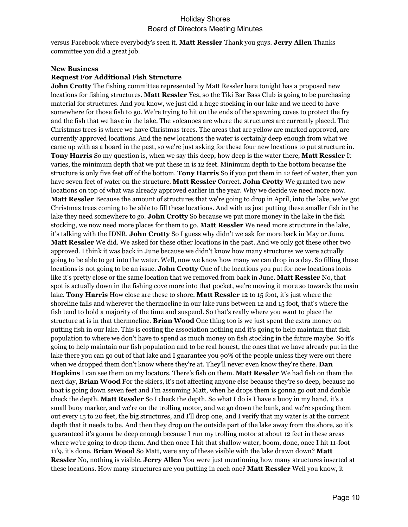versus Facebook where everybody's seen it. **Matt Ressler** Thank you guys. **Jerry Allen** Thanks committee you did a great job.

#### **New Business**

#### **Request For Additional Fish Structure**

**John Crotty** The fishing committee represented by Matt Ressler here tonight has a proposed new locations for fishing structures. **Matt Ressler** Yes, so the Tiki Bar Bass Club is going to be purchasing material for structures. And you know, we just did a huge stocking in our lake and we need to have somewhere for those fish to go. We're trying to hit on the ends of the spawning coves to protect the fry and the fish that we have in the lake. The volcanoes are where the structures are currently placed. The Christmas trees is where we have Christmas trees. The areas that are yellow are marked approved, are currently approved locations. And the new locations the water is certainly deep enough from what we came up with as a board in the past, so we're just asking for these four new locations to put structure in. **Tony Harris** So my question is, when we say this deep, how deep is the water there, **Matt Ressler** It varies, the minimum depth that we put these in is 12 feet. Minimum depth to the bottom because the structure is only five feet off of the bottom. **Tony Harris** So if you put them in 12 feet of water, then you have seven feet of water on the structure. **Matt Ressler** Correct. **John Crotty** We granted two new locations on top of what was already approved earlier in the year. Why we decide we need more now. **Matt Ressler** Because the amount of structures that we're going to drop in April, into the lake, we've got Christmas trees coming to be able to fill these locations. And with us just putting these smaller fish in the lake they need somewhere to go. **John Crotty** So because we put more money in the lake in the fish stocking, we now need more places for them to go. **Matt Ressler** We need more structure in the lake, it's talking with the IDNR. **John Crotty** So I guess why didn't we ask for more back in May or June. **Matt Ressler** We did. We asked for these other locations in the past. And we only got these other two approved. I think it was back in June because we didn't know how many structures we were actually going to be able to get into the water. Well, now we know how many we can drop in a day. So filling these locations is not going to be an issue. **John Crotty** One of the locations you put for new locations looks like it's pretty close or the same location that we removed from back in June. **Matt Ressler** No, that spot is actually down in the fishing cove more into that pocket, we're moving it more so towards the main lake. **Tony Harris** How close are these to shore. **Matt Ressler** 12 to 15 foot, it's just where the shoreline falls and wherever the thermocline in our lake runs between 12 and 15 foot, that's where the fish tend to hold a majority of the time and suspend. So that's really where you want to place the structure at is in that thermocline. **Brian Wood** One thing too is we just spent the extra money on putting fish in our lake. This is costing the association nothing and it's going to help maintain that fish population to where we don't have to spend as much money on fish stocking in the future maybe. So it's going to help maintain our fish population and to be real honest, the ones that we have already put in the lake there you can go out of that lake and I guarantee you 90% of the people unless they were out there when we dropped them don't know where they're at. They'll never even know they're there. **Dan Hopkins** I can see them on my locators. There's fish on them. **Matt Ressler** We had fish on them the next day, **Brian Wood** For the skiers, it's not affecting anyone else because they're so deep, because no boat is going down seven feet and I'm assuming Matt, when he drops them is gonna go out and double check the depth. **Matt Ressler** So I check the depth. So what I do is I have a buoy in my hand, it's a small buoy marker, and we're on the trolling motor, and we go down the bank, and we're spacing them out every 15 to 20 feet, the big structures, and I'll drop one, and I verify that my water is at the current depth that it needs to be. And then they drop on the outside part of the lake away from the shore, so it's guaranteed it's gonna be deep enough because I run my trolling motor at about 12 feet in these areas where we're going to drop them. And then once I hit that shallow water, boom, done, once I hit 11-foot 11'9, it's done. **Brian Wood** So Matt, were any of these visible with the lake drawn down? **Matt Ressler** No, nothing is visible. **Jerry Allen** You were just mentioning how many structures inserted at these locations. How many structures are you putting in each one? **Matt Ressler** Well you know, it